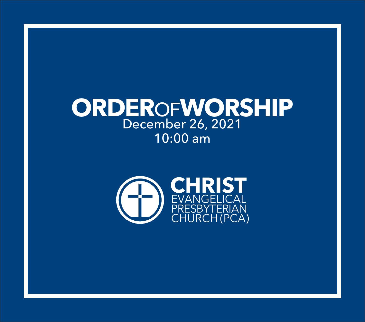# **ORDER**OF**WORSHIP** December 26, 2021 10:00 am

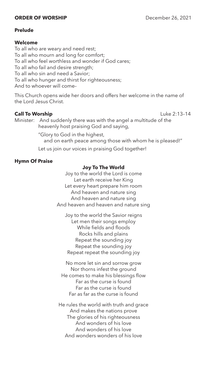# **ORDER OF WORSHIP** December 26, 2021

# **Prelude**

# **Welcome**

To all who are weary and need rest; To all who mourn and long for comfort; To all who feel worthless and wonder if God cares; To all who fail and desire strength; To all who sin and need a Savior; To all who hunger and thirst for righteousness; And to whoever will come–

This Church opens wide her doors and offers her welcome in the name of the Lord Jesus Christ.

# **Call To Worship Call To Worship Call To Worship**

Minister: And suddenly there was with the angel a multitude of the heavenly host praising God and saying,

"Glory to God in the highest,

and on earth peace among those with whom he is pleased!"

Let us join our voices in praising God together!

# **Hymn Of Praise**

# **Joy To The World**

Joy to the world the Lord is come Let earth receive her King Let every heart prepare him room And heaven and nature sing And heaven and nature sing And heaven and heaven and nature sing

Joy to the world the Savior reigns Let men their songs employ While fields and floods Rocks hills and plains Repeat the sounding joy Repeat the sounding joy Repeat repeat the sounding joy

No more let sin and sorrow grow Nor thorns infest the ground He comes to make his blessings flow Far as the curse is found Far as the curse is found Far as far as the curse is found

He rules the world with truth and grace And makes the nations prove The glories of his righteousness And wonders of his love And wonders of his love And wonders wonders of his love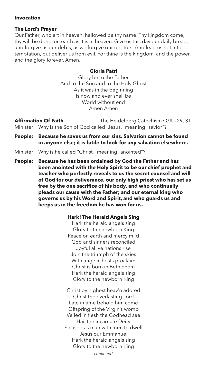# **Invocation**

# **The Lord's Prayer**

Our Father, who art in heaven, hallowed be thy name. Thy kingdom come, thy will be done, on earth as it is in heaven. Give us this day our daily bread, and forgive us our debts, as we forgive our debtors. And lead us not into temptation, but deliver us from evil. For thine is the kingdom, and the power, and the glory forever. Amen.

### **Gloria Patri**

Glory be to the Father And to the Son and to the Holy Ghost As it was in the beginning Is now and ever shall be World without end Amen Amen

**Affirmation Of Faith** The Heidelberg Catechism Q/A #29, 31 Minister: Why is the Son of God called "Jesus," meaning "savior"?

- **People: Because he saves us from our sins. Salvation cannot be found in anyone else; it is futile to look for any salvation elsewhere.**
- Minister: Why is he called "Christ," meaning "anointed"?

**People: Because he has been ordained by God the Father and has been anointed with the Holy Spirit to be our chief prophet and teacher who perfectly reveals to us the secret counsel and will of God for our deliverance, our only high priest who has set us free by the one sacrifice of his body, and who continually pleads our cause with the Father; and our eternal king who governs us by his Word and Spirit, and who guards us and keeps us in the freedom he has won for us.**

### **Hark! The Herald Angels Sing**

Hark the herald angels sing Glory to the newborn King Peace on earth and mercy mild God and sinners reconciled Joyful all ye nations rise Join the triumph of the skies With angelic hosts proclaim Christ is born in Bethlehem Hark the herald angels sing Glory to the newborn King

Christ by highest heav'n adored Christ the everlasting Lord Late in time behold him come Offspring of the Virgin's womb Veiled in flesh the Godhead see Hail the incarnate Deity Pleased as man with men to dwell Jesus our Emmanuel Hark the herald angels sing Glory to the newborn King

*continued*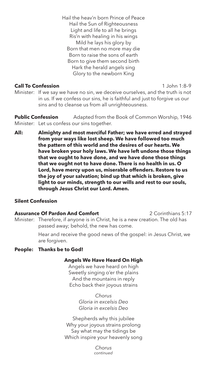Hail the heav'n born Prince of Peace Hail the Sun of Righteousness Light and life to all he brings Ris'n with healing in his wings Mild he lays his glory by Born that men no more may die Born to raise the sons of earth Born to give them second birth Hark the herald angels sing Glory to the newborn King

# **Call To Confession** 1 John 1:8–9

Minister: If we say we have no sin, we deceive ourselves, and the truth is not in us. If we confess our sins, he is faithful and just to forgive us our sins and to cleanse us from all unrighteousness.

**Public Confession** Adapted from the Book of Common Worship, 1946 Minister: Let us confess our sins together.

**All: Almighty and most merciful Father; we have erred and strayed from your ways like lost sheep. We have followed too much the pattern of this world and the desires of our hearts. We have broken your holy laws. We have left undone those things that we ought to have done, and we have done those things that we ought not to have done. There is no health in us. O Lord, have mercy upon us, miserable offenders. Restore to us the joy of your salvation; bind up that which is broken, give light to our minds, strength to our wills and rest to our souls, through Jesus Christ our Lord. Amen.**

# **Silent Confession**

**Assurance Of Pardon And Comfort** 2 Corinthians 5:17 Minister: Therefore, if anyone is in Christ, he is a new creation. The old has passed away; behold, the new has come.

> Hear and receive the good news of the gospel: in Jesus Christ, we are forgiven.

### **People: Thanks be to God!**

### **Angels We Have Heard On High**

Angels we have heard on high Sweetly singing o'er the plains And the mountains in reply Echo back their joyous strains

> *Chorus Gloria in excelsis Deo Gloria in excelsis Deo*

Shepherds why this jubilee Why your joyous strains prolong Say what may the tidings be Which inspire your heavenly song

> *Chorus continued*